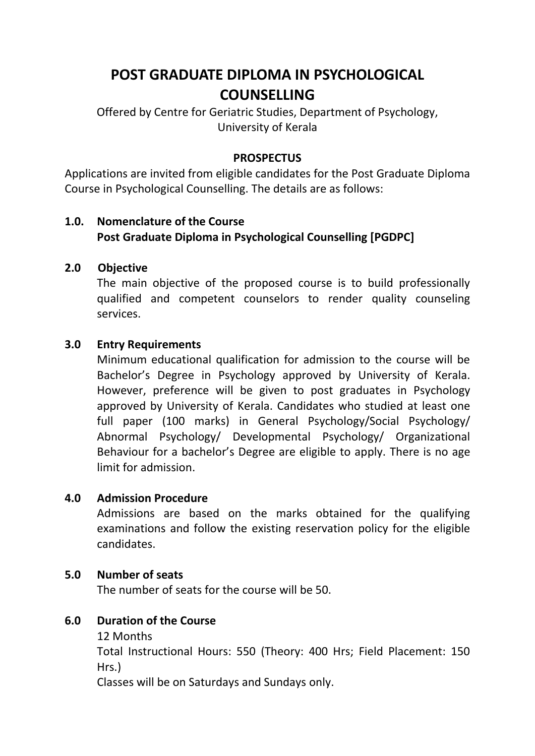# **POST GRADUATE DIPLOMA IN PSYCHOLOGICAL COUNSELLING**

Offered by Centre for Geriatric Studies, Department of Psychology, University of Kerala

#### **PROSPECTUS**

Applications are invited from eligible candidates for the Post Graduate Diploma Course in Psychological Counselling. The details are as follows:

## **1.0. Nomenclature of the Course Post Graduate Diploma in Psychological Counselling [PGDPC]**

#### **2.0 Objective**

The main objective of the proposed course is to build professionally qualified and competent counselors to render quality counseling services.

#### **3.0 Entry Requirements**

Minimum educational qualification for admission to the course will be Bachelor's Degree in Psychology approved by University of Kerala. However, preference will be given to post graduates in Psychology approved by University of Kerala. Candidates who studied at least one full paper (100 marks) in General Psychology/Social Psychology/ Abnormal Psychology/ Developmental Psychology/ Organizational Behaviour for a bachelor's Degree are eligible to apply. There is no age limit for admission.

#### **4.0 Admission Procedure**

Admissions are based on the marks obtained for the qualifying examinations and follow the existing reservation policy for the eligible candidates.

#### **5.0 Number of seats**

The number of seats for the course will be 50.

#### **6.0 Duration of the Course**

12 Months

Total Instructional Hours: 550 (Theory: 400 Hrs; Field Placement: 150 Hrs.)

Classes will be on Saturdays and Sundays only.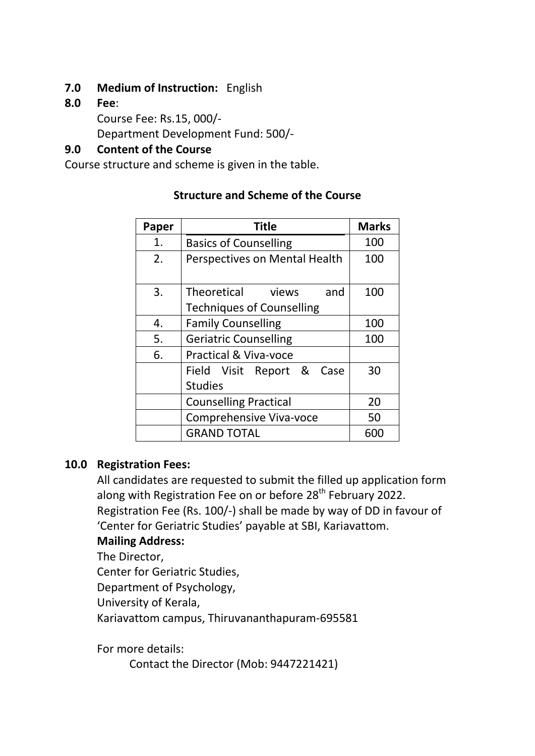# **7.0 Medium of Instruction:** English

**8.0 Fee**:

Course Fee: Rs.15, 000/- Department Development Fund: 500/-

# **9.0 Content of the Course**

Course structure and scheme is given in the table.

| Paper | <b>Title</b>                     | <b>Marks</b> |
|-------|----------------------------------|--------------|
| 1.    | <b>Basics of Counselling</b>     | 100          |
| 2.    | Perspectives on Mental Health    | 100          |
| 3.    | Theoretical views<br>and         | 100          |
|       | <b>Techniques of Counselling</b> |              |
| 4.    | <b>Family Counselling</b>        | 100          |
| 5.    | <b>Geriatric Counselling</b>     | 100          |
| 6.    | <b>Practical &amp; Viva-voce</b> |              |
|       | Field Visit Report &<br>Case     | 30           |
|       | <b>Studies</b>                   |              |
|       | <b>Counselling Practical</b>     | 20           |
|       | <b>Comprehensive Viva-voce</b>   | 50           |
|       | <b>GRAND TOTAL</b>               | 600          |

# **Structure and Scheme of the Course**

#### **10.0 Registration Fees:**

All candidates are requested to submit the filled up application form along with Registration Fee on or before 28<sup>th</sup> February 2022. Registration Fee (Rs. 100/-) shall be made by way of DD in favour of 'Center for Geriatric Studies' payable at SBI, Kariavattom.

# **Mailing Address:**

The Director,

Center for Geriatric Studies,

Department of Psychology,

University of Kerala,

Kariavattom campus, Thiruvananthapuram-695581

For more details:

Contact the Director (Mob: 9447221421)